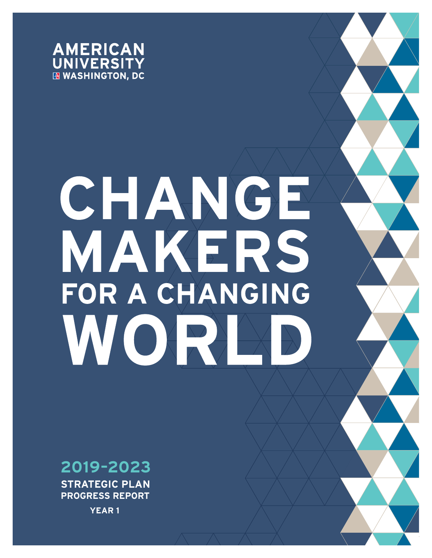

# CHANGE MAKERS FOR A CHANGING WORK

 $A$  university 2020–2023  $\rightarrow$  2020–2023 Strategic plan progress  $A$  and  $A$  and  $A$  and  $A$  and  $A$  and  $A$  and  $A$ 



**STRATEGIC PLAN PROGRESS REPORT**

**YEAR 1**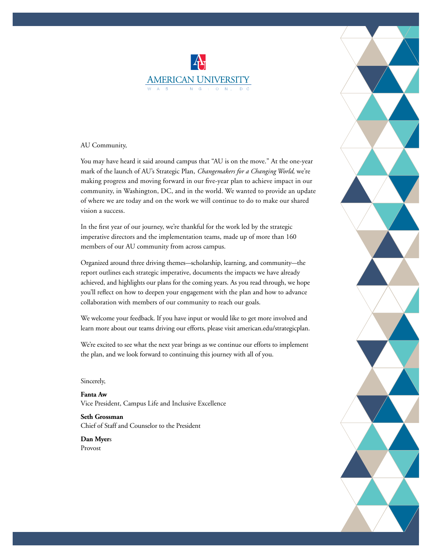### **AMERICAN UNIVERSITY**

#### AU Community,

You may have heard it said around campus that "AU is on the move." At the one-year mark of the launch of AU's Strategic Plan, *Changemakers for a Changing World,* we're making progress and moving forward in our five-year plan to achieve impact in our community, in Washington, DC, and in the world. We wanted to provide an update of where we are today and on the work we will continue to do to make our shared vision a success.

In the first year of our journey, we're thankful for the work led by the strategic imperative directors and the implementation teams, made up of more than 160 members of our AU community from across campus.

Organized around three driving themes—scholarship, learning, and community—the report outlines each strategic imperative, documents the impacts we have already achieved, and highlights our plans for the coming years. As you read through, we hope you'll reflect on how to deepen your engagement with the plan and how to advance collaboration with members of our community to reach our goals.

We welcome your feedback. If you have input or would like to get more involved and learn more about our teams driving our efforts, please visit american.edu/strategicplan.

We're excited to see what the next year brings as we continue our efforts to implement the plan, and we look forward to continuing this journey with all of you.

#### Sincerely,

**Fanta Aw** Vice President, Campus Life and Inclusive Excellence

**Seth Grossman** Chief of Staff and Counselor to the President

**Dan Myer**s Provost

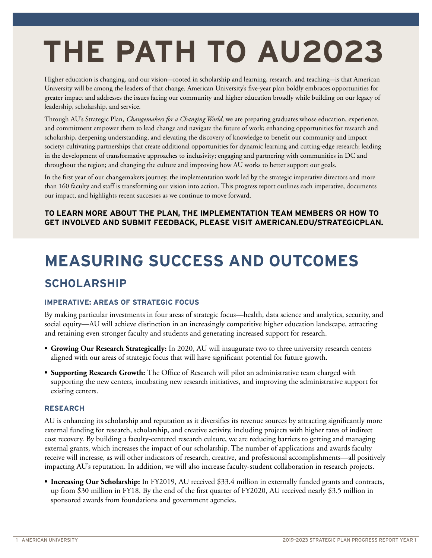## **THE PATH TO AU2023**

Higher education is changing, and our vision—rooted in scholarship and learning, research, and teaching—is that American University will be among the leaders of that change. American University's five-year plan boldly embraces opportunities for greater impact and addresses the issues facing our community and higher education broadly while building on our legacy of leadership, scholarship, and service.

Through AU's Strategic Plan, *Changemakers for a Changing World,* we are preparing graduates whose education, experience, and commitment empower them to lead change and navigate the future of work; enhancing opportunities for research and scholarship, deepening understanding, and elevating the discovery of knowledge to benefit our community and impact society; cultivating partnerships that create additional opportunities for dynamic learning and cutting-edge research; leading in the development of transformative approaches to inclusivity; engaging and partnering with communities in DC and throughout the region; and changing the culture and improving how AU works to better support our goals.

In the first year of our changemakers journey, the implementation work led by the strategic imperative directors and more than 160 faculty and staff is transforming our vision into action. This progress report outlines each imperative, documents our impact, and highlights recent successes as we continue to move forward.

#### **TO LEARN MORE ABOUT THE PLAN, THE IMPLEMENTATION TEAM MEMBERS OR HOW TO GET INVOLVED AND SUBMIT FEEDBACK, PLEASE VISIT AMERICAN.EDU/STRATEGICPLAN.**

### **MEASURING SUCCESS AND OUTCOMES**

#### **SCHOLARSHIP**

#### **IMPERATIVE: AREAS OF STRATEGIC FOCUS**

By making particular investments in four areas of strategic focus—health, data science and analytics, security, and social equity—AU will achieve distinction in an increasingly competitive higher education landscape, attracting and retaining even stronger faculty and students and generating increased support for research.

- **• Growing Our Research Strategically:** In 2020, AU will inaugurate two to three university research centers aligned with our areas of strategic focus that will have significant potential for future growth.
- **• Supporting Research Growth:** The Office of Research will pilot an administrative team charged with supporting the new centers, incubating new research initiatives, and improving the administrative support for existing centers.

#### **RESEARCH**

AU is enhancing its scholarship and reputation as it diversifies its revenue sources by attracting significantly more external funding for research, scholarship, and creative activity, including projects with higher rates of indirect cost recovery. By building a faculty-centered research culture, we are reducing barriers to getting and managing external grants, which increases the impact of our scholarship. The number of applications and awards faculty receive will increase, as will other indicators of research, creative, and professional accomplishments—all positively impacting AU's reputation. In addition, we will also increase faculty-student collaboration in research projects.

**• Increasing Our Scholarship:** In FY2019, AU received \$33.4 million in externally funded grants and contracts, up from \$30 million in FY18. By the end of the first quarter of FY2020, AU received nearly \$3.5 million in sponsored awards from foundations and government agencies.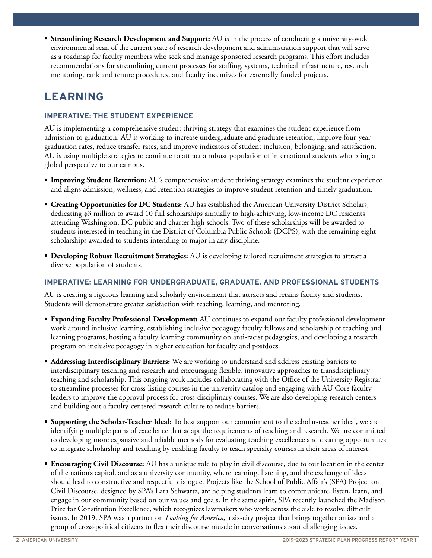**• Streamlining Research Development and Support:** AU is in the process of conducting a university-wide environmental scan of the current state of research development and administration support that will serve as a roadmap for faculty members who seek and manage sponsored research programs. This effort includes recommendations for streamlining current processes for staffing, systems, technical infrastructure, research mentoring, rank and tenure procedures, and faculty incentives for externally funded projects.

#### **LEARNING**

#### **IMPERATIVE: THE STUDENT EXPERIENCE**

AU is implementing a comprehensive student thriving strategy that examines the student experience from admission to graduation. AU is working to increase undergraduate and graduate retention, improve four-year graduation rates, reduce transfer rates, and improve indicators of student inclusion, belonging, and satisfaction. AU is using multiple strategies to continue to attract a robust population of international students who bring a global perspective to our campus.

- **• Improving Student Retention:** AU's comprehensive student thriving strategy examines the student experience and aligns admission, wellness, and retention strategies to improve student retention and timely graduation.
- **• Creating Opportunities for DC Students:** AU has established the American University District Scholars, dedicating \$3 million to award 10 full scholarships annually to high-achieving, low-income DC residents attending Washington, DC public and charter high schools. Two of these scholarships will be awarded to students interested in teaching in the District of Columbia Public Schools (DCPS), with the remaining eight scholarships awarded to students intending to major in any discipline.
- **• Developing Robust Recruitment Strategies:** AU is developing tailored recruitment strategies to attract a diverse population of students.

#### **IMPERATIVE: LEARNING FOR UNDERGRADUATE, GRADUATE, AND PROFESSIONAL STUDENTS**

AU is creating a rigorous learning and scholarly environment that attracts and retains faculty and students. Students will demonstrate greater satisfaction with teaching, learning, and mentoring.

- **• Expanding Faculty Professional Development:** AU continues to expand our faculty professional development work around inclusive learning, establishing inclusive pedagogy faculty fellows and scholarship of teaching and learning programs, hosting a faculty learning community on anti-racist pedagogies, and developing a research program on inclusive pedagogy in higher education for faculty and postdocs.
- **• Addressing Interdisciplinary Barriers:** We are working to understand and address existing barriers to interdisciplinary teaching and research and encouraging flexible, innovative approaches to transdisciplinary teaching and scholarship. This ongoing work includes collaborating with the Office of the University Registrar to streamline processes for cross-listing courses in the university catalog and engaging with AU Core faculty leaders to improve the approval process for cross-disciplinary courses. We are also developing research centers and building out a faculty-centered research culture to reduce barriers.
- **• Supporting the Scholar-Teacher Ideal:** To best support our commitment to the scholar-teacher ideal, we are identifying multiple paths of excellence that adapt the requirements of teaching and research. We are committed to developing more expansive and reliable methods for evaluating teaching excellence and creating opportunities to integrate scholarship and teaching by enabling faculty to teach specialty courses in their areas of interest.
- **• Encouraging Civil Discourse:** AU has a unique role to play in civil discourse, due to our location in the center of the nation's capital, and as a university community, where learning, listening, and the exchange of ideas should lead to constructive and respectful dialogue. Projects like the School of Public Affair's (SPA) Project on Civil Discourse, designed by SPA's Lara Schwartz, are helping students learn to communicate, listen, learn, and engage in our community based on our values and goals. In the same spirit, SPA recently launched the Madison Prize for Constitution Excellence, which recognizes lawmakers who work across the aisle to resolve difficult issues. In 2019, SPA was a partner on *Looking for America,* a six-city project that brings together artists and a group of cross-political citizens to flex their discourse muscle in conversations about challenging issues.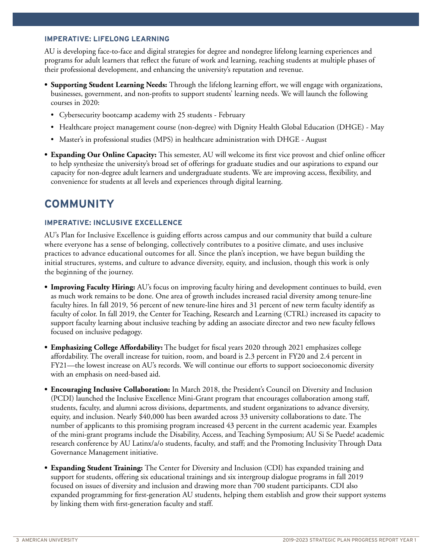#### **IMPERATIVE: LIFELONG LEARNING**

AU is developing face-to-face and digital strategies for degree and nondegree lifelong learning experiences and programs for adult learners that reflect the future of work and learning, reaching students at multiple phases of their professional development, and enhancing the university's reputation and revenue.

- **• Supporting Student Learning Needs:** Through the lifelong learning effort, we will engage with organizations, businesses, government, and non-profits to support students' learning needs. We will launch the following courses in 2020:
	- Cybersecurity bootcamp academy with 25 students February
	- Healthcare project management course (non-degree) with Dignity Health Global Education (DHGE) May
	- Master's in professional studies (MPS) in healthcare administration with DHGE August
- **• Expanding Our Online Capacity:** This semester, AU will welcome its first vice provost and chief online officer to help synthesize the university's broad set of offerings for graduate studies and our aspirations to expand our capacity for non-degree adult learners and undergraduate students. We are improving access, flexibility, and convenience for students at all levels and experiences through digital learning.

#### **COMMUNITY**

#### **IMPERATIVE: INCLUSIVE EXCELLENCE**

AU's Plan for Inclusive Excellence is guiding efforts across campus and our community that build a culture where everyone has a sense of belonging, collectively contributes to a positive climate, and uses inclusive practices to advance educational outcomes for all. Since the plan's inception, we have begun building the initial structures, systems, and culture to advance diversity, equity, and inclusion, though this work is only the beginning of the journey.

- **• Improving Faculty Hiring:** AU's focus on improving faculty hiring and development continues to build, even as much work remains to be done. One area of growth includes increased racial diversity among tenure-line faculty hires. In fall 2019, 56 percent of new tenure-line hires and 31 percent of new term faculty identify as faculty of color. In fall 2019, the Center for Teaching, Research and Learning (CTRL) increased its capacity to support faculty learning about inclusive teaching by adding an associate director and two new faculty fellows focused on inclusive pedagogy.
- **• Emphasizing College Affordability:** The budget for fiscal years 2020 through 2021 emphasizes college affordability. The overall increase for tuition, room, and board is 2.3 percent in FY20 and 2.4 percent in FY21—the lowest increase on AU's records. We will continue our efforts to support socioeconomic diversity with an emphasis on need-based aid.
- **• Encouraging Inclusive Collaboration:** In March 2018, the President's Council on Diversity and Inclusion (PCDI) launched the Inclusive Excellence Mini-Grant program that encourages collaboration among staff, students, faculty, and alumni across divisions, departments, and student organizations to advance diversity, equity, and inclusion. Nearly \$40,000 has been awarded across 33 university collaborations to date. The number of applicants to this promising program increased 43 percent in the current academic year. Examples of the mini-grant programs include the Disability, Access, and Teaching Symposium; AU Si Se Puede! academic research conference by AU Latinx/a/o students, faculty, and staff; and the Promoting Inclusivity Through Data Governance Management initiative.
- **• Expanding Student Training:** The Center for Diversity and Inclusion (CDI) has expanded training and support for students, offering six educational trainings and six intergroup dialogue programs in fall 2019 focused on issues of diversity and inclusion and drawing more than 700 student participants. CDI also expanded programming for first-generation AU students, helping them establish and grow their support systems by linking them with first-generation faculty and staff.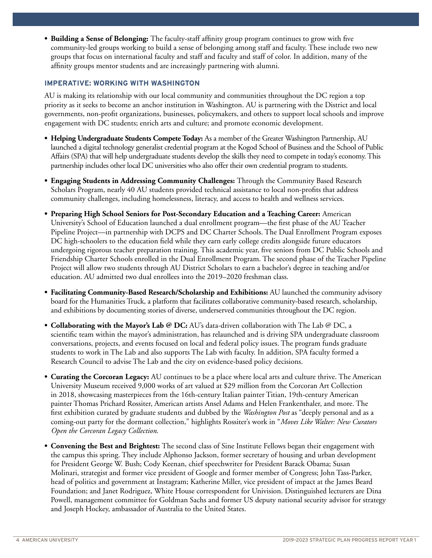**• Building a Sense of Belonging:** The faculty-staff affinity group program continues to grow with five community-led groups working to build a sense of belonging among staff and faculty. These include two new groups that focus on international faculty and staff and faculty and staff of color. In addition, many of the affinity groups mentor students and are increasingly partnering with alumni.

#### **IMPERATIVE: WORKING WITH WASHINGTON**

AU is making its relationship with our local community and communities throughout the DC region a top priority as it seeks to become an anchor institution in Washington. AU is partnering with the District and local governments, non-profit organizations, businesses, policymakers, and others to support local schools and improve engagement with DC students; enrich arts and culture; and promote economic development.

- **• Helping Undergraduate Students Compete Today:** As a member of the Greater Washington Partnership, AU launched a digital technology generalist credential program at the Kogod School of Business and the School of Public Affairs (SPA) that will help undergraduate students develop the skills they need to compete in today's economy. This partnership includes other local DC universities who also offer their own credential program to students.
- **• Engaging Students in Addressing Community Challenges:** Through the Community Based Research Scholars Program, nearly 40 AU students provided technical assistance to local non-profits that address community challenges, including homelessness, literacy, and access to health and wellness services.
- **• Preparing High School Seniors for Post-Secondary Education and a Teaching Career:** American University's School of Education launched a dual enrollment program—the first phase of the AU Teacher Pipeline Project—in partnership with DCPS and DC Charter Schools. The Dual Enrollment Program exposes DC high-schoolers to the education field while they earn early college credits alongside future educators undergoing rigorous teacher preparation training. This academic year, five seniors from DC Public Schools and Friendship Charter Schools enrolled in the Dual Enrollment Program. The second phase of the Teacher Pipeline Project will allow two students through AU District Scholars to earn a bachelor's degree in teaching and/or education. AU admitted two dual enrollees into the 2019–2020 freshman class.
- **• Facilitating Community-Based Research/Scholarship and Exhibitions:** AU launched the community advisory board for the Humanities Truck, a platform that facilitates collaborative community-based research, scholarship, and exhibitions by documenting stories of diverse, underserved communities throughout the DC region.
- **• Collaborating with the Mayor's Lab @ DC:** AU's data-driven collaboration with The Lab @ DC, a scientific team within the mayor's administration, has relaunched and is driving SPA undergraduate classroom conversations, projects, and events focused on local and federal policy issues. The program funds graduate students to work in The Lab and also supports The Lab with faculty. In addition, SPA faculty formed a Research Council to advise The Lab and the city on evidence-based policy decisions.
- **• Curating the Corcoran Legacy:** AU continues to be a place where local arts and culture thrive. The American University Museum received 9,000 works of art valued at \$29 million from the Corcoran Art Collection in 2018, showcasing masterpieces from the 16th-century Italian painter Titian, 19th-century American painter Thomas Prichard Rossiter, American artists Ansel Adams and Helen Frankenthaler, and more. The first exhibition curated by graduate students and dubbed by the *Washington Post* as "deeply personal and as a coming-out party for the dormant collection," highlights Rossiter's work in "*Moves Like Walter: New Curators Open the Corcoran Legacy Collection*.
- **• Convening the Best and Brightest:** The second class of Sine Institute Fellows began their engagement with the campus this spring. They include Alphonso Jackson, former secretary of housing and urban development for President George W. Bush; Cody Keenan, chief speechwriter for President Barack Obama; Susan Molinari, strategist and former vice president of Google and former member of Congress; John Tass-Parker, head of politics and government at Instagram; Katherine Miller, vice president of impact at the James Beard Foundation; and Janet Rodriguez, White House correspondent for Univision. Distinguished lecturers are Dina Powell, management committee for Goldman Sachs and former US deputy national security advisor for strategy and Joseph Hockey, ambassador of Australia to the United States.